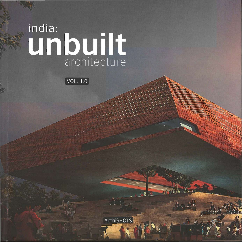## india:<br>Un built

 $\boxed{\text{VOL}. 1.0}$ 

**ArchiSHOTS**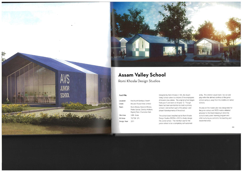·**.'** 

 $\mathbb{Z}^{N\times N}$  .  $\mathbb{Z}$  .



## **Assam Valley School**

**Romi Khosla Design Studios** 

AVS

**JUNIOR** 

**SCHOOL** 

The school board reached out to Romi Khosla Design Studios (RKDS) in 2012 to finally design the Junior school. The intention was for the junior school to be a completely self-sustained entity. The children would learn, live, eat and play within the defined confines of the junior school campus. away from the middle and senior schools.

| Location       | Harchurah-Sonitpur, Assam                                     |
|----------------|---------------------------------------------------------------|
| Client         | McLeod Russel India Limited                                   |
| Team           | Romi Khosla, Martand Khosla,<br>Pedro Garcia, Chandu Arsikere |
|                | Rajnish Pant, Charlottee Sein                                 |
| Site Area      | 5.86 Acres                                                    |
| <b>BU</b> Area | 78.738 S.Ft.                                                  |
| Design Year    | 2011                                                          |
|                |                                                               |

**Fact File Fact File COLLEG EXECUTE:** Designed by Romi Khosla in 199\_the Assam Valley School caters to children of the employees of Assam's tea estates. The original school began from year 5 and went on till year 12. Though there had been an intention to build a primary school, it did not form part of the phase I and phase II developments of the school.

An area on the master plan was designated for the junior school and RKDS made a detailed proposal to the Board keeping in mind the school's early years' learning program and child nurturing as central to the teaching and residential areas.